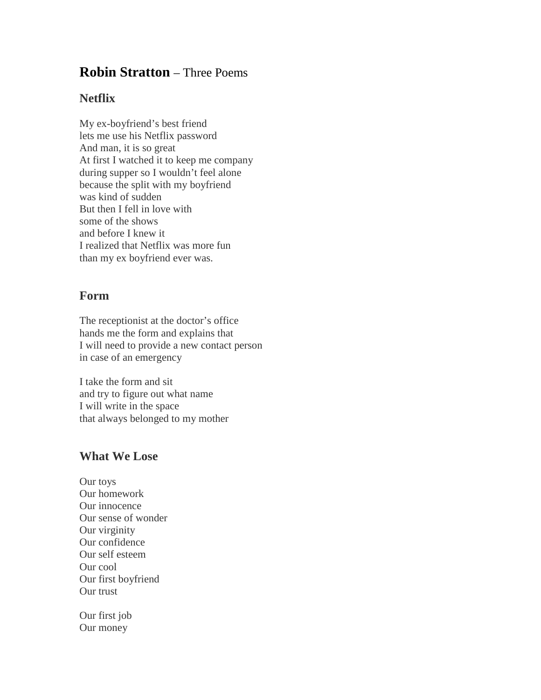## **Robin Stratton** – Three Poems

## **Netflix**

My ex-boyfriend's best friend lets me use his Netflix password And man, it is so great At first I watched it to keep me company during supper so I wouldn't feel alone because the split with my boyfriend was kind of sudden But then I fell in love with some of the shows and before I knew it I realized that Netflix was more fun than my ex boyfriend ever was.

## **Form**

The receptionist at the doctor's office hands me the form and explains that I will need to provide a new contact person in case of an emergency

I take the form and sit and try to figure out what name I will write in the space that always belonged to my mother

## **What We Lose**

Our toys Our homework Our innocence Our sense of wonder Our virginity Our confidence Our self esteem Our cool Our first boyfriend Our trust

Our first job Our money